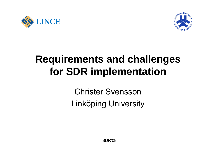



# **Requirements and challenges for SDR implementation**

Christer Svensson Linköping University

 ${\sf SDR'09}$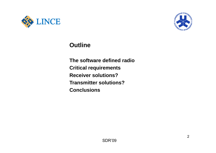



### **Outline**

**Th ft e so ware d fi d e ne radio Critical requirements Receiver solutions? Transmitter solutions? Conclusions**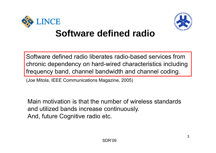



Software defined radio liberates radio-based services from chronic dependency on hard-wired characteristics including frequency band, channel bandwidth and channel coding.

(Joe Mitola, IEEE Communications Magazine, 2005)

Main motivation is that the number of wireless standardsand utilized bands increase continuously. And, future Cognitive radio etc.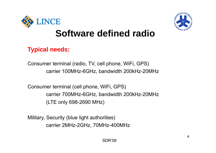



### **Typical needs:**

Consumer terminal (radio, TV, cell phone, WiFi, GPS) carrier 100MHz-6GHz, bandwidth 200kHz-20MHz

Consumer terminal (cell phone, WiFi, GPS) carrier 700MHz-6GHz, bandwidth 200kHz-20MHz (LTE only 698-2690 MHz)

Military, Security (blue light authorities) carrier 2MHz-2GHz, 70MHz-400MHz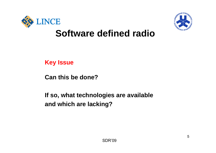



**Key Issue**

**Can this be done?**

**If h t t h l i il bl If so, what technologies are available and which are lacking?**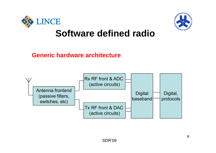



### **Generic hardware architecture**

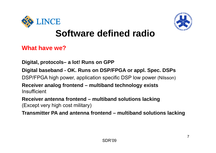



**What have we?**

**Digital, protocols– a lot! Runs on GPP**

**Digital baseband - OK. Runs on DSP/FPGA or appl. Spec. DSPs**

DSP/FPGA high power, application specific DSP low power (Nilsson)

**Receiver analog frontend – multiband technology exists Insufficient** 

**Receiver antenna frontend – multiband solutions lacking** (Except very high cost military)

Transmitter PA and antenna frontend – multiband solutions lacking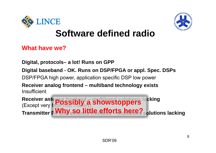



**What have we?**

**Digital, protocols– a lot! Runs on GPP**

**Digital baseband - OK. Runs on DSP/FPGA or appl. Spec. DSPs**

DSP/FPGA high power, application specific DSP low power

**Receiver analog frontend – multiband technology exists** Insufficient

**Receiver antenna frontend – multiband solutions lacking** (Except very high cost military)  $\bf{r}$  **i l PA little city. First, the**  $\bf{r}$  **is a little**  $\bf{r}$  **is a little function of**  $\bf{r}$ **Possibly a showstoppers Transmitter PWhy SO little efforts here?** solutions lacking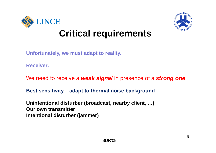



**Unfortunately, we must adapt to reality.** 

**Receiver:**

We need to receive a *weak signal* in presence of a *strong one* 

**Best sensitivity – adapt to thermal noise background**

**Unintentional disturber (broadcast, nearby client, …) Our own transmitterIntentional disturber (jammer)**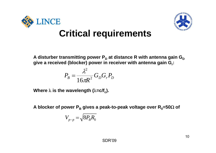



**A** disturber transmitting power P<sub>D</sub> at distance R with antenna gain G<sub>D</sub> **give a received (blocker) power in receiver with antenna gain Gr:**

$$
P_B = \frac{\lambda^2}{16\pi R^2} G_D G_r P_D
$$

Where  $\lambda$  is the wavelength ( $\lambda$ =c/f $_{\rm c}$ ).

**A** blocker of power P<sub>B</sub> gives a peak-to-peak voltage over R<sub>0</sub>=50Ω of

$$
V_{p-p} = \sqrt{8P_{B}R_{0}}
$$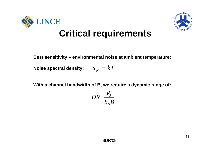



**Best sensitivity – environmental noise at ambient temperature:**

Noise spectral density:  $\quad S_{\,N}^{} = kT$ 

**With a channel bandwidth of B, we require a dynamic range of:**

$$
DR = \frac{P_B}{S_N B}
$$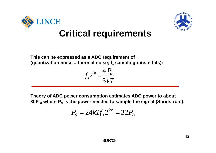



**This can be expressed as a ADC requirement of** (quantization noise = thermal noise; f<sub>s</sub> sampling rate, n bits):

$$
f_s 2^{2n} = \frac{4 P_B}{3 kT}
$$

**Theory of ADC power consumption estimates ADC power to about**  30P<sub>s</sub>, where P<sub>s</sub> is the power needed to sample the signal (Sundström):

$$
P_{\rm S} = 24kT f_{\rm S} 2^{2n} = 32P_{\rm B}
$$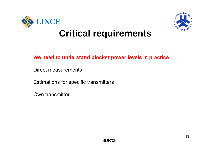



#### **We need to understand blocker power levels in practice blocker**

Direct measurements

Estimations for specific transmitters

Own transmitter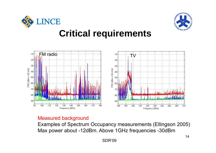





#### Measured background

Examples of Spectrum Occupancy measurements (Ellingson 2005) Max power about -12dBm. Above 1GHz frequencies -30dBm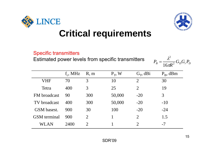

#### Specific transmitters

Estimated power levels from specific transmitters  $\qquad \qquad p\ =\ \frac{\lambda^2}{2}$ 

$$
P_B = \frac{\lambda^2}{16\pi R^2} G_D G_r P_D
$$

|                     | $f_c$ , MHz | R, m                  | $P_T$ , W | $G_T$ , dBi    | $P_{B}$ , dBm |
|---------------------|-------------|-----------------------|-----------|----------------|---------------|
| <b>VHF</b>          | 70          | 3                     | 10        | $\overline{2}$ | 30            |
| Tetra               | 400         | 3                     | 25        | $\overline{2}$ | 19            |
| FM broadcast        | 90          | 300                   | 50,000    | $-20$          | 3             |
| TV broadcast        | 400         | 300                   | 50,000    | $-20$          | $-10$         |
| GSM basest.         | 900         | 30                    | 100       | $-20$          | $-24$         |
| <b>GSM</b> terminal | 900         | 2                     |           | 2              | 1.5           |
| WLAN                | 2400        | $\mathcal{D}_{\cdot}$ |           | $\overline{2}$ | -7            |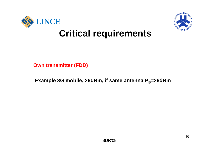



**Own transmitter (FDD)**

**Example 3G mobile, 26dBm, if same antenna P<sub>B</sub>=26dBm**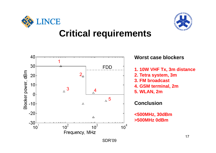



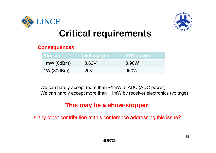



#### **Consequences**

| <b>Blocker</b> | Voltage p-p | <b>ADC power</b> |
|----------------|-------------|------------------|
| 1mW (0dBm)     | 0.63V       | 0.96W            |
| 1W (30dBm)     | <b>20V</b>  | 960W             |

We can hardly accept more than ~1mW at ADC (ADC power) We can hardly accept more than  $~1$ mW by receiver electronics (voltage)

### **This may be a show-stopper**

Is any other contribution at this conference addressing this issue?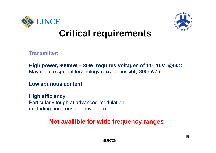



**Transmitter:**

**High power, 300mW – 30W, requires voltages of 11-110V @50** May require special technology (except possibly 300mW )

**Low spurious content**

**High efficiency** Particularly tough at advanced modulation (including non-constant envelope)

### **Not availible for wide frequency ranges**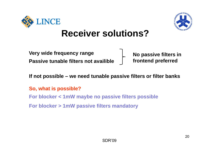



**Very wide frequency range No passive filters in Passive tunable filters not availible**

 $f$ *tontend* preferred

**If not possible – we need tunable passive filters or filter banks**

**So, what is possible?**

**For blocker < 1mW maybe no passive filters possible**

**For blocker > 1mW passive filters mandatory**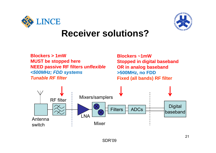



**Blockers > 1mWMUST be stopped here NEED passive RF filters** *unflexible <500MHz; FDD systems T bl RF filtTunable* 

 **Blockers ~1mWStopped in digital baseband OR in analog baseband >500MHz, no FDD Fixed (all bands) RF filter** 

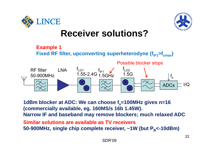





1dBm blocker at ADC: We can choose f<sub>s</sub>=100MHz gives n=16 **( y commercially available, eg. 160MS/s 16b 1.45W). Narrow IF and baseband may remove blockers; much relaxed ADC**

**Similar solutions are available as TV receivers** 50-900MHz, single chip complete receiver, ~1W (but P<sub>в</sub><-10dBm)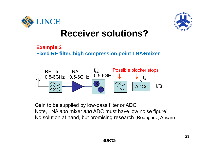



#### **Example 2**

#### **Fixed RF filter, high compression point LNA+mixer**



Gain to be supplied by low-pass filter or ADC Note, LNA *and* mixer *and* ADC must have low noise figure! No solution at hand, but promising research (Rodriguez, Ahsan)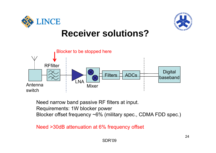





Need narrow band passive RF filters at input. Requirements: 1W blocker power Blocker offset frequency ~6% (military spec., CDMA FDD spec.)

Need >30dB attenuation at 6% frequency offset 30dB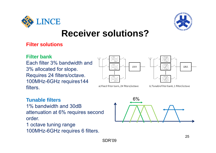



#### **Filter solutions**

#### **Filter bank**

Each filter 3% bandwidth and 3% allocated for slope. Requires 24 filters/octave. 100MHz-6GHz requires144 filters.





a) Fixed filter bank, 24 filters/octave

b) Tunable filter bank, 1 filter/octave

#### **Tunable filters**

1% bandwidth and 30dB attenuation at 6% requires second<br>order.

1 octave tuning range 100MHz-6GHz requires 6 filters.

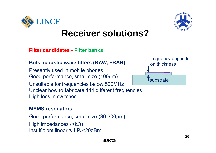

**Filter candidates - Filter banks**

#### **Bulk acoustic wave filters (BAW, FBAR)**

Presently used in mobile phones Good performance, small size (100 $\mu$ m) Unsuitable for frequencies below 500MHz Unclear how to fabricate 144 different frequencies High loss in switches

#### **MEMS resonators**

Good performance, small size  $(30-300\mu m)$ High impedances  $(\geq k\Omega)$ Insufficient linearity IIP $_{3}$ <20dBm



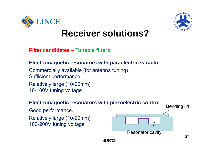



**Filter candidates – Tunable filters**

#### **Electromagnetic resonators with paraelectric varactor**

Commercially available (for antenna tuning) Sufficient performance.

Relatively large (10-20mm) 10-100V tuning voltage

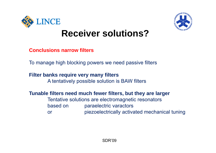



**Conclusions narrow filters**

To manage high blocking powers we need passive filters

### **Filter banks require very many filters many**

A tentatively possible solution is BAW filters

**Tunable filters need much fewer filters but they are larger filters,** 

Tentative solutions are electromagnetic resonators based on paraelectric varactors orpiezoelectrically activated mechanical tuning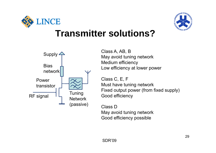



### **Transmitter solutions?**



Supply  $\leftarrow$  Class A, AB, B<br>May avoid tuning network Medium efficiency

> Class C, E, F Must have tuning network Fixed output power (from fixed supply) Good efficiency

Class DMay avoid tuning network Good efficiency possible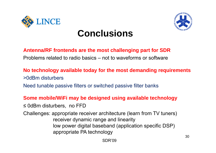

# **Conclusions**



#### **Antenna/RF frontends are the most challenging part for SDR**

Problems related to radio basics – not to waveforms or software

#### **No technology available today for the most demanding requirements** >0dBm disturbers

Need tunable passive filters or switched passive filter banks

#### **Some mobile/WiFi may be designed using available technology**

≤ 0dBm disturbers, no FFD

Challenges: appropriate receiver architecture (learn from TV tuners) receiver dynamic range and linearity low power digital baseband (application specific DSP)<br>appropriate PA technology